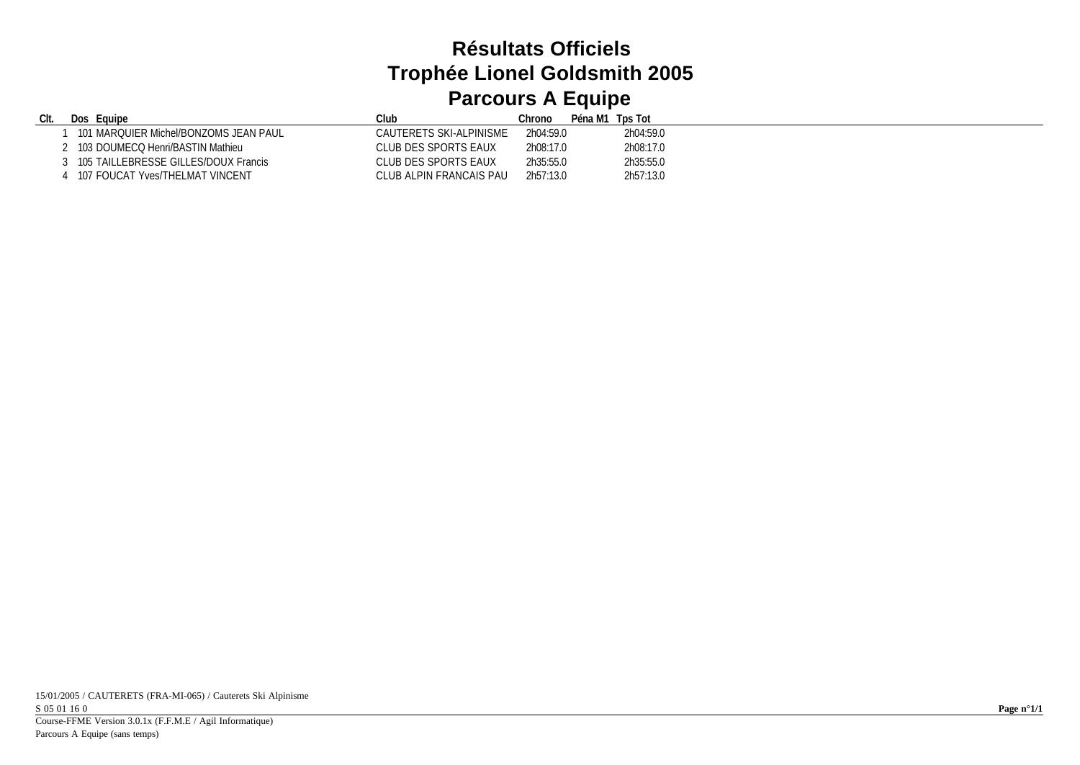## **Résultats Officiels Trophée Lionel Goldsmith 2005 Parcours A Equipe**

| CIt. | Eauipe<br><b>Dos</b>                  | Club                    | Chrono    | Péna M1 Tps Tot |           |
|------|---------------------------------------|-------------------------|-----------|-----------------|-----------|
|      | 101 MARQUIER Michel/BONZOMS JEAN PAUL | CAUTERETS SKI-ALPINISME | 2h04:59.0 |                 | 2h04:59.0 |
|      | 103 DOUMECQ Henri/BASTIN Mathieu      | CLUB DES SPORTS EAUX    | 2h08:17.0 |                 | 2h08:17.0 |
|      | 105 TAILLEBRESSE GILLES/DOUX Francis  | CLUB DES SPORTS EAUX    | 2h35:55.0 |                 | 2h35:55.0 |
|      | 107 FOUCAT Yves/THELMAT VINCENT       | CLUB ALPIN FRANCAIS PAU | 2h57:13.0 |                 | 2h57:13.0 |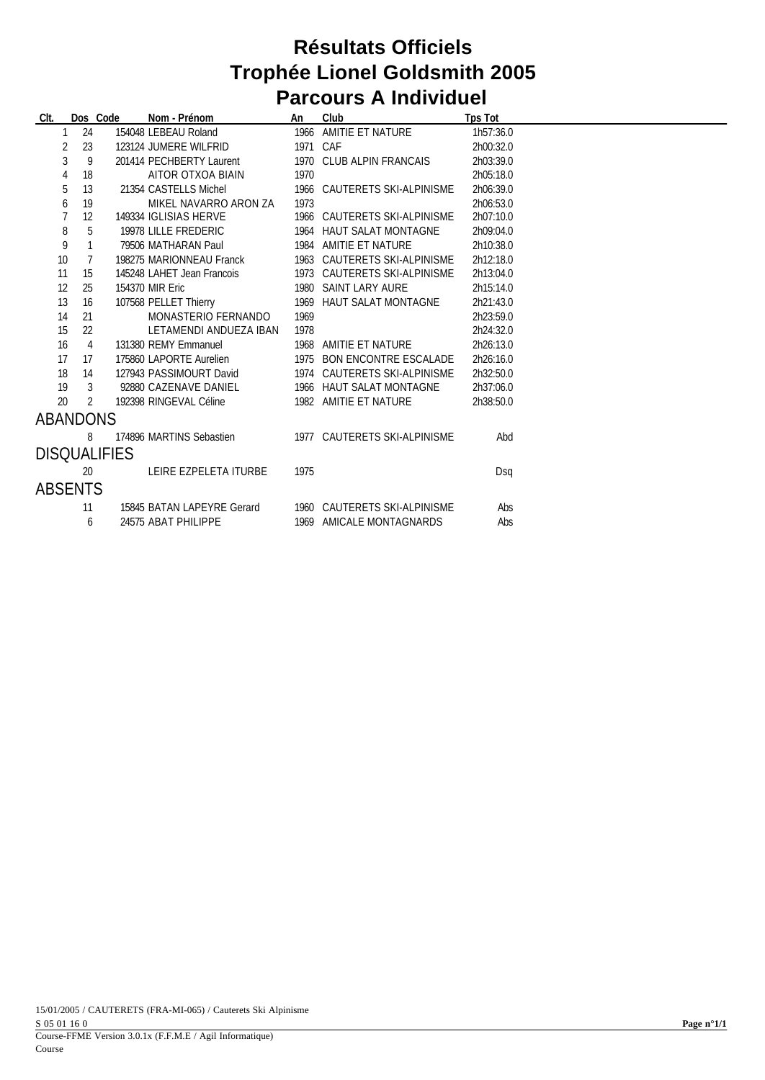## **Résultats Officiels Trophée Lionel Goldsmith 2005 Parcours A Individuel**

| CIt.                |                | Dos Code | Nom - Prénom               | An   | Club                         | <b>Tps Tot</b> |  |
|---------------------|----------------|----------|----------------------------|------|------------------------------|----------------|--|
| 1                   | 24             |          | 154048 LEBEAU Roland       | 1966 | AMITIE ET NATURE             | 1h57:36.0      |  |
| 2                   | 23             |          | 123124 JUMERE WILFRID      | 1971 | CAF                          | 2h00:32.0      |  |
| 3                   | 9              |          | 201414 PECHBERTY Laurent   | 1970 | CLUB ALPIN FRANCAIS          | 2h03:39.0      |  |
| 4                   | 18             |          | AITOR OTXOA BIAIN          | 1970 |                              | 2h05:18.0      |  |
| 5                   | 13             |          | 21354 CASTELLS Michel      | 1966 | CAUTERETS SKI-ALPINISME      | 2h06:39.0      |  |
| 6                   | 19             |          | MIKEL NAVARRO ARON ZA      | 1973 |                              | 2h06:53.0      |  |
| 7                   | 12             |          | 149334 IGLISIAS HERVE      | 1966 | CAUTERETS SKI-ALPINISME      | 2h07:10.0      |  |
| 8                   | 5              |          | 19978 LILLE FREDERIC       | 1964 | <b>HAUT SALAT MONTAGNE</b>   | 2h09:04.0      |  |
| 9                   | $\mathbf{1}$   |          | 79506 MATHARAN Paul        | 1984 | AMITIE ET NATURE             | 2h10:38.0      |  |
| 10                  | $\overline{7}$ |          | 198275 MARIONNEAU Franck   | 1963 | CAUTERETS SKI-ALPINISME      | 2h12:18.0      |  |
| 11                  | 15             |          | 145248 LAHET Jean Francois | 1973 | CAUTERETS SKI-ALPINISME      | 2h13:04.0      |  |
| 12                  | 25             |          | 154370 MIR Eric            | 1980 | SAINT LARY AURE              | 2h15:14.0      |  |
| 13                  | 16             |          | 107568 PELLET Thierry      | 1969 | <b>HAUT SALAT MONTAGNE</b>   | 2h21:43.0      |  |
| 14                  | 21             |          | MONASTERIO FERNANDO        | 1969 |                              | 2h23:59.0      |  |
| 15                  | 22             |          | LETAMENDI ANDUEZA IBAN     | 1978 |                              | 2h24:32.0      |  |
| 16                  | $\overline{4}$ |          | 131380 REMY Emmanuel       | 1968 | AMITIE ET NATURE             | 2h26:13.0      |  |
| 17                  | 17             |          | 175860 LAPORTE Aurelien    | 1975 | BON ENCONTRE ESCALADE        | 2h26:16.0      |  |
| 18                  | 14             |          | 127943 PASSIMOURT David    | 1974 | CAUTERETS SKI-ALPINISME      | 2h32:50.0      |  |
| 19                  | 3              |          | 92880 CAZENAVE DANIEL      | 1966 | <b>HAUT SALAT MONTAGNE</b>   | 2h37:06.0      |  |
| 20                  | $\mathfrak{D}$ |          | 192398 RINGEVAL Céline     |      | 1982 AMITIE ET NATURE        | 2h38:50.0      |  |
| ABANDONS            |                |          |                            |      |                              |                |  |
|                     | 8              |          | 174896 MARTINS Sebastien   |      | 1977 CAUTERETS SKI-ALPINISME | Abd            |  |
| <b>DISQUALIFIES</b> |                |          |                            |      |                              |                |  |
|                     | 20             |          | LEIRE EZPELETA ITURBE      | 1975 |                              | Dsq            |  |
| ABSENTS             |                |          |                            |      |                              |                |  |
|                     | 11             |          | 15845 BATAN LAPEYRE Gerard |      | 1960 CAUTERETS SKI-ALPINISME | Abs            |  |
|                     | 6              |          | 24575 ABAT PHILIPPE        | 1969 | AMICALE MONTAGNARDS          | Abs            |  |